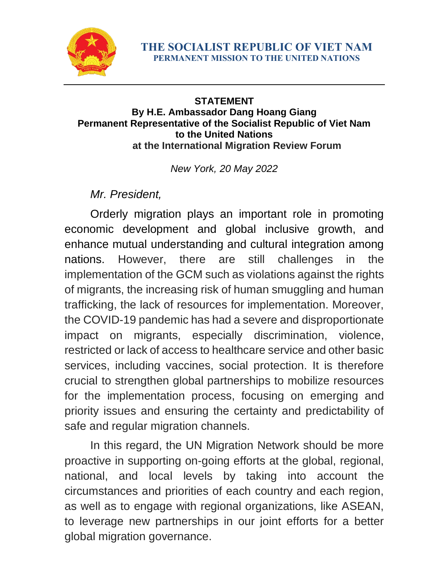

## **STATEMENT By H.E. Ambassador Dang Hoang Giang Permanent Representative of the Socialist Republic of Viet Nam to the United Nations at the International Migration Review Forum**

*New York, 20 May 2022*

*Mr. President,*

Orderly migration plays an important role in promoting economic development and global inclusive growth, and enhance mutual understanding and cultural integration among nations. However, there are still challenges in the implementation of the GCM such as violations against the rights of migrants, the increasing risk of human smuggling and human trafficking, the lack of resources for implementation. Moreover, the COVID-19 pandemic has had a severe and disproportionate impact on migrants, especially discrimination, violence, restricted or lack of access to healthcare service and other basic services, including vaccines, social protection. It is therefore crucial to strengthen global partnerships to mobilize resources for the implementation process, focusing on emerging and priority issues and ensuring the certainty and predictability of safe and regular migration channels.

In this regard, the UN Migration Network should be more proactive in supporting on-going efforts at the global, regional, national, and local levels by taking into account the circumstances and priorities of each country and each region, as well as to engage with regional organizations, like ASEAN, to leverage new partnerships in our joint efforts for a better global migration governance.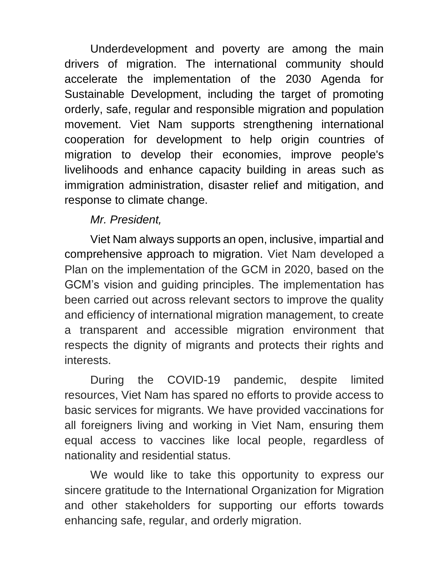Underdevelopment and poverty are among the main drivers of migration. The international community should accelerate the implementation of the 2030 Agenda for Sustainable Development, including the target of promoting orderly, safe, regular and responsible migration and population movement. Viet Nam supports strengthening international cooperation for development to help origin countries of migration to develop their economies, improve people's livelihoods and enhance capacity building in areas such as immigration administration, disaster relief and mitigation, and response to climate change.

## *Mr. President,*

Viet Nam always supports an open, inclusive, impartial and comprehensive approach to migration. Viet Nam developed a Plan on the implementation of the GCM in 2020, based on the GCM's vision and guiding principles. The implementation has been carried out across relevant sectors to improve the quality and efficiency of international migration management, to create a transparent and accessible migration environment that respects the dignity of migrants and protects their rights and interests.

During the COVID-19 pandemic, despite limited resources, Viet Nam has spared no efforts to provide access to basic services for migrants. We have provided vaccinations for all foreigners living and working in Viet Nam, ensuring them equal access to vaccines like local people, regardless of nationality and residential status.

We would like to take this opportunity to express our sincere gratitude to the International Organization for Migration and other stakeholders for supporting our efforts towards enhancing safe, regular, and orderly migration.